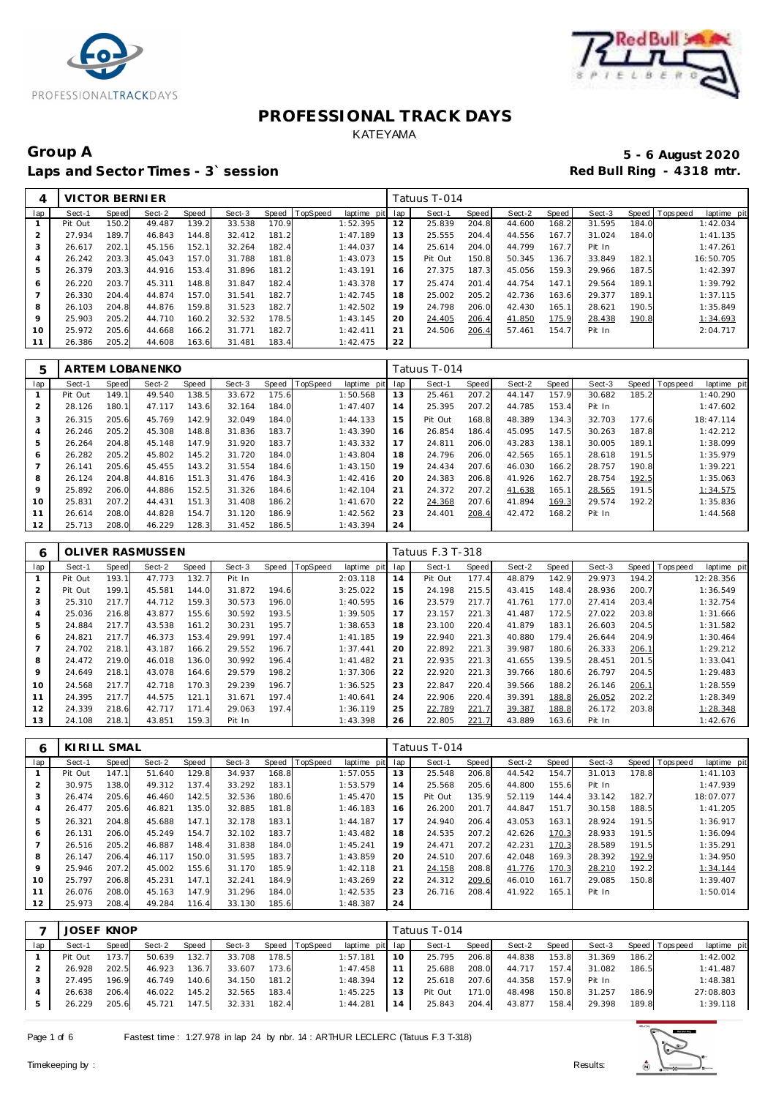



## Group A 5 - 6 August 2020<br>
Laps and Sector Times - 3`session **1990 and Sector Times - 3`session** Laps and Sector Times - 3<sup>\*</sup> session

| 4       | VICTOR BERNIER |       |        |       |        |       |          |             |     | Tatuus T-014 |       |        |       |        |       |                                |
|---------|----------------|-------|--------|-------|--------|-------|----------|-------------|-----|--------------|-------|--------|-------|--------|-------|--------------------------------|
| lap     | Sect-1         | Speed | Sect-2 | Speed | Sect-3 | Speed | TopSpeed | laptime pit | lap | Sect-1       | Speed | Sect-2 | Speed | Sect-3 |       | Speed Tops peed<br>laptime pit |
|         | Pit Out        | 150.2 | 49.487 | 139.2 | 33.538 | 170.9 |          | 1:52.395    | 12  | 25.839       | 204.8 | 44.600 | 168.2 | 31.595 | 184.0 | 1:42.034                       |
|         | 27.934         | 189.7 | 46.843 | 144.8 | 32.412 | 181.2 |          | 1:47.189    | 13  | 25.555       | 204.4 | 44.556 | 167.7 | 31.024 | 184.0 | 1:41.135                       |
| 3       | 26.617         | 202.1 | 45.156 | 152.1 | 32.264 | 182.4 |          | 1:44.037    | 14  | 25.614       | 204.0 | 44.799 | 167.7 | Pit In |       | 1:47.261                       |
|         | 26.242         | 203.3 | 45.043 | 157.0 | 31.788 | 181.8 |          | 1:43.073    | 15  | Pit Out      | 150.8 | 50.345 | 136.7 | 33.849 | 182.1 | 16:50.705                      |
| 5       | 26.379         | 203.3 | 44.916 | 153.4 | 31.896 | 181.2 |          | 1:43.191    | 16  | 27.375       | 187.3 | 45.056 | 159.3 | 29.966 | 187.5 | 1:42.397                       |
| 6       | 26.220         | 203.7 | 45.311 | 148.8 | 31.847 | 182.4 |          | 1:43.378    | 17  | 25.474       | 201.4 | 44.754 | 147.1 | 29.564 | 189.1 | 1:39.792                       |
|         | 26.330         | 204.4 | 44.874 | 157.0 | 31.541 | 182.7 |          | 1:42.745    | 18  | 25.002       | 205.2 | 42.736 | 163.6 | 29.377 | 189.1 | 1:37.115                       |
| 8       | 26.103         | 204.8 | 44.876 | 159.8 | 31.523 | 182.7 |          | 1:42.502    | 19  | 24.798       | 206.0 | 42.430 | 165.1 | 28.621 | 190.5 | 1:35.849                       |
| $\circ$ | 25.903         | 205.2 | 44.710 | 160.2 | 32.532 | 178.5 |          | 1:43.145    | 20  | 24.405       | 206.4 | 41.850 | 175.9 | 28.438 | 190.8 | 1:34.693                       |
| 10      | 25.972         | 205.6 | 44.668 | 166.2 | 31.771 | 182.7 |          | 1:42.411    | 21  | 24.506       | 206.4 | 57.461 | 154.7 | Pit In |       | 2:04.717                       |
| 11      | 26.386         | 205.2 | 44.608 | 163.6 | 31.481 | 183.4 |          | 1:42.475    | 22  |              |       |        |       |        |       |                                |

| 5              |         |       | ARTEM LOBANENKO |       |        |       |          |             |     | Tatuus T-014 |       |        |       |        |       |                                 |
|----------------|---------|-------|-----------------|-------|--------|-------|----------|-------------|-----|--------------|-------|--------|-------|--------|-------|---------------------------------|
| lap            | Sect-1  | Speed | Sect-2          | Speed | Sect-3 | Speed | TopSpeed | laptime pit | lap | Sect-1       | Speed | Sect-2 | Speed | Sect-3 |       | Speed   Topspeed<br>laptime pit |
|                | Pit Out | 149.1 | 49.540          | 138.5 | 33.672 | 175.6 |          | 1:50.568    | 13  | 25.461       | 207.2 | 44.147 | 157.9 | 30.682 | 185.2 | 1:40.290                        |
| 2              | 28.126  | 180.1 | 47.117          | 143.6 | 32.164 | 184.0 |          | 1:47.407    | 14  | 25.395       | 207.2 | 44.785 | 153.4 | Pit In |       | 1:47.602                        |
| 3              | 26.315  | 205.6 | 45.769          | 142.9 | 32.049 | 184.0 |          | 1:44.133    | 15  | Pit Out      | 168.8 | 48.389 | 134.3 | 32.703 | 177.6 | 18:47.114                       |
| 4              | 26.246  | 205.2 | 45.308          | 148.8 | 31.836 | 183.7 |          | 1:43.390    | 16  | 26.854       | 186.4 | 45.095 | 147.5 | 30.263 | 187.8 | 1:42.212                        |
| 5              | 26.264  | 204.8 | 45.148          | 147.9 | 31.920 | 183.7 |          | 1:43.332    | 17  | 24.811       | 206.0 | 43.283 | 138.1 | 30.005 | 189.1 | 1:38.099                        |
| 6              | 26.282  | 205.2 | 45.802          | 145.2 | 31.720 | 184.0 |          | 1:43.804    | 18  | 24.796       | 206.0 | 42.565 | 165.1 | 28.618 | 191.5 | 1:35.979                        |
| $\overline{7}$ | 26.141  | 205.6 | 45.455          | 143.2 | 31.554 | 184.6 |          | 1:43.150    | 19  | 24.434       | 207.6 | 46.030 | 166.2 | 28.757 | 190.8 | 1:39.221                        |
| 8              | 26.124  | 204.8 | 44.816          | 151.3 | 31.476 | 184.3 |          | 1:42.416    | 20  | 24.383       | 206.8 | 41.926 | 162.7 | 28.754 | 192.5 | 1:35.063                        |
| 9              | 25.892  | 206.0 | 44.886          | 152.5 | 31.326 | 184.6 |          | 1:42.104    | 21  | 24.372       | 207.2 | 41.638 | 165.1 | 28.565 | 191.5 | 1:34.575                        |
| 10             | 25.831  | 207.2 | 44.431          | 151.3 | 31.408 | 186.2 |          | 1:41.670    | 22  | 24.368       | 207.6 | 41.894 | 169.3 | 29.574 | 192.2 | 1:35.836                        |
| 11             | 26.614  | 208.0 | 44.828          | 154.7 | 31.120 | 186.9 |          | 1:42.562    | 23  | 24.401       | 208.4 | 42.472 | 168.2 | Pit In |       | 1:44.568                        |
| 12             | 25.713  | 208.0 | 46.229          | 128.3 | 31.452 | 186.5 |          | 1:43.394    | 24  |              |       |        |       |        |       |                                 |

| 6              |         |       | OLIVER RASMUSSEN |       |        |       |          |             |     | Tatuus F.3 T-318 |              |        |       |        |       |                         |
|----------------|---------|-------|------------------|-------|--------|-------|----------|-------------|-----|------------------|--------------|--------|-------|--------|-------|-------------------------|
| lap            | Sect-1  | Speed | Sect-2           | Speed | Sect-3 | Speed | TopSpeed | laptime pit | lap | Sect-1           | <b>Speed</b> | Sect-2 | Speed | Sect-3 | Speed | Topspeed<br>laptime pit |
|                | Pit Out | 193.1 | 47.773           | 132.7 | Pit In |       |          | 2:03.118    | 14  | Pit Out          | 177.4        | 48.879 | 142.9 | 29.973 | 194.2 | 12:28.356               |
| 2              | Pit Out | 199.1 | 45.581           | 144.0 | 31.872 | 194.6 |          | 3:25.022    | 15  | 24.198           | 215.5        | 43.415 | 148.4 | 28.936 | 200.7 | 1:36.549                |
| 3              | 25.310  | 217.7 | 44.712           | 159.3 | 30.573 | 196.0 |          | 1:40.595    | 16  | 23.579           | 217.7        | 41.761 | 177.0 | 27.414 | 203.4 | 1:32.754                |
| 4              | 25.036  | 216.8 | 43.877           | 155.6 | 30.592 | 193.5 |          | 1:39.505    | 17  | 23.157           | 221.3        | 41.487 | 172.5 | 27.022 | 203.8 | 1:31.666                |
| 5              | 24.884  | 217.7 | 43.538           | 161.2 | 30.231 | 195.7 |          | 1:38.653    | 18  | 23.100           | 220.4        | 41.879 | 183.  | 26.603 | 204.5 | 1:31.582                |
| 6              | 24.821  | 217.7 | 46.373           | 153.4 | 29.991 | 197.4 |          | 1:41.185    | 19  | 22.940           | 221.3        | 40.880 | 179.4 | 26.644 | 204.9 | 1:30.464                |
| $\overline{7}$ | 24.702  | 218.1 | 43.187           | 166.2 | 29.552 | 196.7 |          | 1:37.441    | 20  | 22.892           | 221.3        | 39.987 | 180.6 | 26.333 | 206.1 | 1:29.212                |
| 8              | 24.472  | 219.0 | 46.018           | 136.0 | 30.992 | 196.4 |          | 1:41.482    | 21  | 22.935           | 221.3        | 41.655 | 139.5 | 28.451 | 201.5 | 1:33.041                |
| 9              | 24.649  | 218.1 | 43.078           | 164.6 | 29.579 | 198.2 |          | 1:37.306    | 22  | 22.920           | 221.3        | 39.766 | 180.6 | 26.797 | 204.5 | 1:29.483                |
| 10             | 24.568  | 217.7 | 42.718           | 170.3 | 29.239 | 196.7 |          | 1:36.525    | 23  | 22.847           | 220.4        | 39.566 | 188.2 | 26.146 | 206.1 | 1:28.559                |
| 11             | 24.395  | 217.7 | 44.575           | 121.1 | 31.671 | 197.4 |          | 1:40.641    | 24  | 22.906           | 220.4        | 39.391 | 188.8 | 26.052 | 202.2 | 1:28.349                |
| 12             | 24.339  | 218.6 | 42.717           | 171.4 | 29.063 | 197.4 |          | 1:36.119    | 25  | 22.789           | 221.7        | 39.387 | 188.8 | 26.172 | 203.8 | 1:28.348                |
| 13             | 24.108  | 218.1 | 43.851           | 159.3 | Pit In |       |          | 1:43.398    | 26  | 22.805           | 221.7        | 43.889 | 163.6 | Pit In |       | 1:42.676                |

| 6   | KIRILL SMAL |       |        |       |        |       |                |             |     | Tatuus T-014 |       |        |       |        |       |                               |  |
|-----|-------------|-------|--------|-------|--------|-------|----------------|-------------|-----|--------------|-------|--------|-------|--------|-------|-------------------------------|--|
| lap | Sect-1      | Speed | Sect-2 | Speed | Sect-3 |       | Speed TopSpeed | laptime pit | lap | Sect-1       | Speed | Sect-2 | Speed | Sect-3 |       | Speed Topspeed<br>laptime pit |  |
|     | Pit Out     | 147.1 | 51.640 | 129.8 | 34.937 | 168.8 |                | 1:57.055    | 13  | 25.548       | 206.8 | 44.542 | 154.7 | 31.013 | 178.8 | 1:41.103                      |  |
| 2   | 30.975      | 138.0 | 49.312 | 137.4 | 33.292 | 183.1 |                | 1:53.579    | 14  | 25.568       | 205.6 | 44.800 | 155.6 | Pit In |       | 1:47.939                      |  |
| 3   | 26.474      | 205.6 | 46.460 | 142.5 | 32.536 | 180.6 |                | 1:45.470    | 15  | Pit Out      | 135.9 | 52.119 | 144.4 | 33.142 | 182.7 | 18:07.077                     |  |
| 4   | 26.477      | 205.6 | 46.821 | 135.0 | 32.885 | 181.8 |                | 1:46.183    | 16  | 26.200       | 201.7 | 44.847 | 151.7 | 30.158 | 188.5 | 1:41.205                      |  |
| 5   | 26.321      | 204.8 | 45.688 | 147.1 | 32.178 | 183.1 |                | 1:44.187    | 17  | 24.940       | 206.4 | 43.053 | 163.1 | 28.924 | 191.5 | 1:36.917                      |  |
| 6   | 26.131      | 206.0 | 45.249 | 154.7 | 32.102 | 183.7 |                | 1:43.482    | 18  | 24.535       | 207.2 | 42.626 | 170.3 | 28.933 | 191.5 | 1:36.094                      |  |
|     | 26.516      | 205.2 | 46.887 | 148.4 | 31.838 | 184.0 |                | 1:45.241    | 19  | 24.471       | 207.2 | 42.231 | 170.3 | 28.589 | 191.5 | 1:35.291                      |  |
| 8   | 26.147      | 206.4 | 46.117 | 150.0 | 31.595 | 183.7 |                | 1:43.859    | 20  | 24.510       | 207.6 | 42.048 | 169.3 | 28.392 | 192.9 | 1:34.950                      |  |
| 9   | 25.946      | 207.2 | 45.002 | 155.6 | 31.170 | 185.9 |                | 1:42.118    | 21  | 24.158       | 208.8 | 41.776 | 170.3 | 28.210 | 192.2 | 1:34.144                      |  |
| 10  | 25.797      | 206.8 | 45.231 | 147.1 | 32.241 | 184.9 |                | 1:43.269    | 22  | 24.312       | 209.6 | 46.010 | 161.7 | 29.085 | 150.8 | 1:39.407                      |  |
| 11  | 26.076      | 208.0 | 45.163 | 147.9 | 31.296 | 184.0 |                | 1:42.535    | 23  | 26.716       | 208.4 | 41.922 | 165.1 | Pit In |       | 1:50.014                      |  |
| 12  | 25.973      | 208.4 | 49.284 | 116.4 | 33.130 | 185.6 |                | 1:48.387    | 24  |              |       |        |       |        |       |                               |  |

|     | <b>JOSEF KNOP</b> |       |        |       |        |       |                |                 |     | Tatuus T-014 |       |        |       |        |       |                 |             |
|-----|-------------------|-------|--------|-------|--------|-------|----------------|-----------------|-----|--------------|-------|--------|-------|--------|-------|-----------------|-------------|
| lap | Sect-1            | Speed | Sect-2 | Speed | Sect-3 |       | Speed TopSpeed | laptime pit lap |     | Sect-1       | Speed | Sect-2 | Speed | Sect-3 |       | Speed Tops peed | laptime pit |
|     | Pit Out           | 173.7 | 50.639 | 132.7 | 33.708 | 178.5 |                | 1:57.181        | -10 | 25.795       | 206.8 | 44.838 | 153.8 | 31.369 | 186.2 |                 | 1:42.002    |
|     | 26.928            | 202.5 | 46.923 | 136.7 | 33.607 | 173.6 |                | 1:47.458        |     | 25.688       | 208.0 | 44.717 | 157.4 | 31.082 | 186.5 |                 | 1:41.487    |
|     | 27.495            | 196.9 | 46.749 | 140.6 | 34.150 | 181.2 |                | 1:48.394        |     | 25.618       | 207.6 | 44.358 | 157.9 | Pit In |       |                 | 1:48.381    |
|     | 26.638            | 206.4 | 46.022 | 145.2 | 32.565 | 183.4 |                | 1:45.225        | 13  | Pit Out      | 171.0 | 48.498 | 150.8 | 31.257 | 186.9 |                 | 27:08.803   |
|     | 26.229            | 205.6 | 45.721 | 147.5 | 32.331 | 182.4 |                | 1:44.281        | 14  | 25.843       | 204.4 | 43.877 | 158.4 | 29.398 | 189.8 |                 | 1:39.118    |

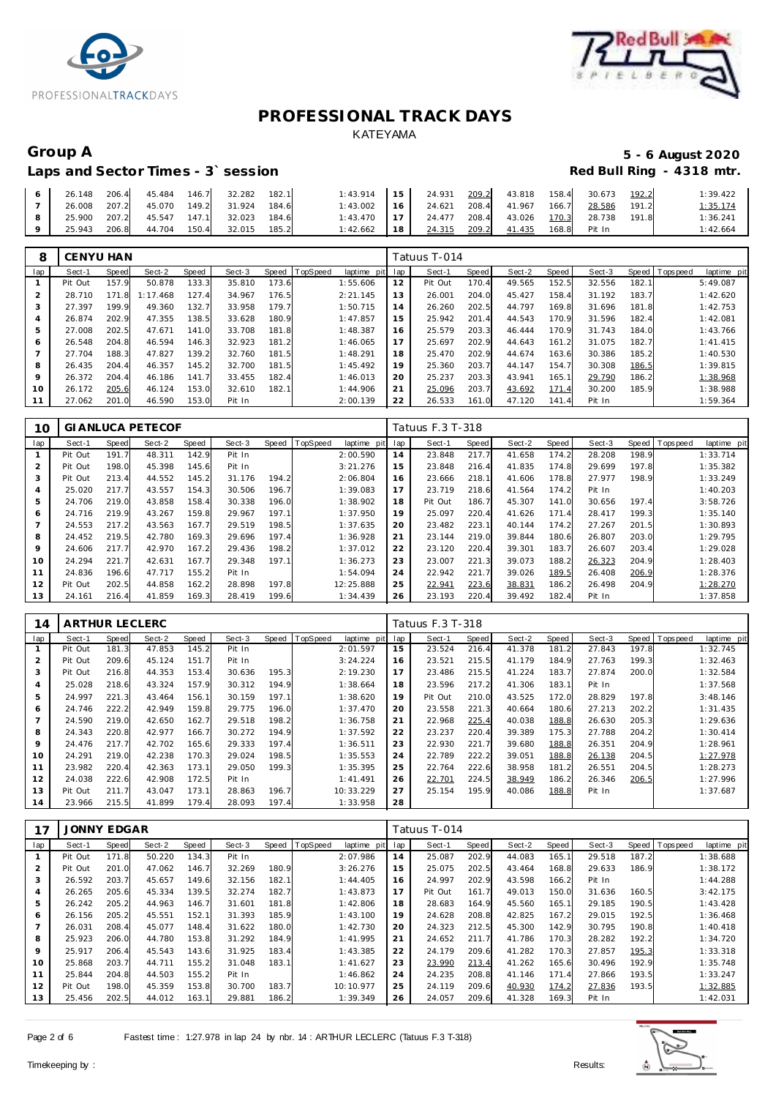



# Laps and Sector Times - 3<sup>\*</sup> session

# Group A **5 - 6 August 2020**<br>Laps and Sector Times - 3`session **1990 1991 1991 1992 1998** Red Bull Ring - 4318 mtr.

| 26.148 | 206.4 | 45.484 | 146.7 | 32.282 | 182.1 | 1:43.914 | 15 <sup>1</sup> | 24.931 | 209.2 | 43.818 | 158.4 | 30.673 | 192.2 | 1:39.422 |
|--------|-------|--------|-------|--------|-------|----------|-----------------|--------|-------|--------|-------|--------|-------|----------|
| 26.008 | 207.2 | 45.070 | 149.2 | 31.924 | 184.6 | 1:43.002 | <b>16</b>       | 24.621 | 208.4 | 41.967 | 166.7 | 28.586 | 191.2 | 1:35.174 |
| 25.900 | 207.2 | 45.547 | 147.1 | 32.023 | 184.6 | 1:43.470 |                 | 24.477 | 208.4 | 43.026 | 170.3 | 28.738 | 191.8 | 1:36.241 |
| 25.943 | 206.8 | 44.704 | 150.4 | 32.015 | 185.2 | 1:42.662 | 18              | 24.315 | 209.2 | 41.435 | 168.8 | Pit In |       | 1:42.664 |

| 8              | <b>CENYU HAN</b> |       |          |       |        |            |                |             |     | Tatuus T-014 |       |        |       |        |       |                |             |
|----------------|------------------|-------|----------|-------|--------|------------|----------------|-------------|-----|--------------|-------|--------|-------|--------|-------|----------------|-------------|
| lap            | Sect-1           | Speed | Sect-2   | Speed | Sect-3 |            | Speed TopSpeed | laptime pit | lap | Sect-1       | Speed | Sect-2 | Speed | Sect-3 |       | Speed Topspeed | laptime pit |
|                | Pit Out          | 157.9 | 50.878   | 133.3 | 35.810 | 173.6      |                | 1:55.606    | 12  | Pit Out      | 170.4 | 49.565 | 152.5 | 32.556 | 182.1 |                | 5:49.087    |
| $\overline{2}$ | 28.710           | 171.8 | 1:17.468 | 127.4 | 34.967 | 176.5      |                | 2:21.145    | 13  | 26.001       | 204.0 | 45.427 | 158.4 | 31.192 | 183.7 |                | 1:42.620    |
| 3              | 27.397           | 199.9 | 49.360   | 132.7 | 33.958 | 179.7      |                | 1:50.715    | 14  | 26.260       | 202.5 | 44.797 | 169.8 | 31.696 | 181.8 |                | 1:42.753    |
| 4              | 26.874           | 202.9 | 47.355   | 138.5 | 33.628 | 180.9      |                | 1:47.857    | 15  | 25.942       | 201.4 | 44.543 | 170.9 | 31.596 | 182.4 |                | 1:42.081    |
| 5              | 27.008           | 202.5 | 47.671   | 141.0 | 33.708 | 181.<br>.ខ |                | 1:48.387    | 16  | 25.579       | 203.3 | 46.444 | 170.9 | 31.743 | 184.0 |                | 1:43.766    |
| 6              | 26.548           | 204.8 | 46.594   | 146.3 | 32.923 | 181<br>.2  |                | 1:46.065    | 17  | 25.697       | 202.9 | 44.643 | 161.2 | 31.075 | 182.7 |                | 1: 41.415   |
|                | 27.704           | 188.3 | 47.827   | 139.2 | 32.760 | 181        |                | 1:48.291    | 18  | 25.470       | 202.9 | 44.674 | 163.6 | 30.386 | 185.2 |                | 1:40.530    |
| 8              | 26.435           | 204.4 | 46.357   | 145.2 | 32.700 | 181        |                | 1:45.492    | 19  | 25.360       | 203.7 | 44.147 | 154.7 | 30.308 | 186.5 |                | 1:39.815    |
| 9              | 26.372           | 204.4 | 46.186   | 141.7 | 33.455 | 182.4      |                | 1:46.013    | 20  | 25.237       | 203.3 | 43.941 | 165.1 | 29.790 | 186.2 |                | 1:38.968    |
| 10             | 26.172           | 205.6 | 46.124   | 153.0 | 32.610 | 182.1      |                | 1:44.906    | 21  | 25.096       | 203.7 | 43.692 | 171.4 | 30.200 | 185.9 |                | 1:38.988    |
|                | 27.062           | 201.0 | 46.590   | 153.0 | Pit In |            |                | 2:00.139    | 22  | 26.533       | 161.0 | 47.120 | 141.4 | Pit In |       |                | 1:59.364    |

| 10  |         |       | <b>GI ANLUCA PETECOF</b> |       |        |       |          |             |     | Tatuus F.3 T-318 |       |        |       |        |       |                 |             |
|-----|---------|-------|--------------------------|-------|--------|-------|----------|-------------|-----|------------------|-------|--------|-------|--------|-------|-----------------|-------------|
| lap | Sect-1  | Speed | Sect-2                   | Speed | Sect-3 | Speed | TopSpeed | laptime pit | lap | Sect-1           | Speed | Sect-2 | Speed | Sect-3 |       | Speed Tops peed | laptime pit |
|     | Pit Out | 191.7 | 48.311                   | 142.9 | Pit In |       |          | 2:00.590    | 14  | 23.848           | 217.7 | 41.658 | 174.2 | 28.208 | 198.9 |                 | 1:33.714    |
| 2   | Pit Out | 198.0 | 45.398                   | 145.6 | Pit In |       |          | 3:21.276    | 15  | 23.848           | 216.4 | 41.835 | 174.8 | 29.699 | 197.8 |                 | 1:35.382    |
| 3   | Pit Out | 213.4 | 44.552                   | 145.2 | 31.176 | 194.2 |          | 2:06.804    | 16  | 23.666           | 218.1 | 41.606 | 178.8 | 27.977 | 198.9 |                 | 1:33.249    |
|     | 25.020  | 217.7 | 43.557                   | 154.3 | 30.506 | 196.7 |          | 1:39.083    | 17  | 23.719           | 218.6 | 41.564 | 174.2 | Pit In |       |                 | 1:40.203    |
| 5   | 24.706  | 219.0 | 43.858                   | 158.4 | 30.338 | 196.0 |          | 1:38.902    | 18  | Pit Out          | 186.7 | 45.307 | 141.0 | 30.656 | 197.4 |                 | 3:58.726    |
| 6   | 24.716  | 219.9 | 43.267                   | 159.8 | 29.967 | 197.1 |          | 1:37.950    | 19  | 25.097           | 220.4 | 41.626 | 171.4 | 28.417 | 199.3 |                 | 1:35.140    |
|     | 24.553  | 217.2 | 43.563                   | 167.7 | 29.519 | 198.5 |          | 1:37.635    | 20  | 23.482           | 223.1 | 40.144 | 174.2 | 27.267 | 201.5 |                 | 1:30.893    |
| 8   | 24.452  | 219.5 | 42.780                   | 169.3 | 29.696 | 197.4 |          | 1:36.928    | 21  | 23.144           | 219.0 | 39.844 | 180.6 | 26.807 | 203.0 |                 | 1:29.795    |
| 9   | 24.606  | 217.7 | 42.970                   | 167.2 | 29.436 | 198.2 |          | 1:37.012    | 22  | 23.120           | 220.4 | 39.301 | 183.7 | 26.607 | 203.4 |                 | 1:29.028    |
| 10  | 24.294  | 221.7 | 42.631                   | 167.7 | 29.348 | 197.1 |          | 1:36.273    | 23  | 23.007           | 221.3 | 39.073 | 188.2 | 26.323 | 204.9 |                 | 1:28.403    |
| 11  | 24.836  | 196.6 | 47.717                   | 155.2 | Pit In |       |          | 1:54.094    | 24  | 22.942           | 221.7 | 39.026 | 189.5 | 26.408 | 206.9 |                 | 1:28.376    |
| 12  | Pit Out | 202.5 | 44.858                   | 162.2 | 28.898 | 197.8 |          | 12:25.888   | 25  | 22.941           | 223.6 | 38.831 | 186.2 | 26.498 | 204.9 |                 | 1:28.270    |
| 13  | 24.161  | 216.4 | 41.859                   | 169.3 | 28.419 | 199.6 |          | 1:34.439    | 26  | 23.193           | 220.4 | 39.492 | 182.4 | Pit In |       |                 | 1:37.858    |

| 14             | <b>ARTHUR LECLERC</b> |              |        |       |        |       |                 |             |     | Tatuus F.3 T-318 |       |        |       |        |       |                |             |
|----------------|-----------------------|--------------|--------|-------|--------|-------|-----------------|-------------|-----|------------------|-------|--------|-------|--------|-------|----------------|-------------|
| lap            | Sect-1                | <b>Speed</b> | Sect-2 | Speed | Sect-3 | Speed | <b>TopSpeed</b> | laptime pit | lap | Sect-1           | Speed | Sect-2 | Speed | Sect-3 |       | Speed Topspeed | laptime pit |
|                | Pit Out               | 181.3        | 47.853 | 145.2 | Pit In |       |                 | 2:01.597    | 15  | 23.524           | 216.4 | 41.378 | 181.2 | 27.843 | 197.8 |                | 1:32.745    |
| $\overline{2}$ | Pit Out               | 209.6        | 45.124 | 151.7 | Pit In |       |                 | 3:24.224    | 16  | 23.521           | 215.5 | 41.179 | 184.9 | 27.763 | 199.3 |                | 1:32.463    |
| 3              | Pit Out               | 216.8        | 44.353 | 153.4 | 30.636 | 195.3 |                 | 2:19.230    | 17  | 23.486           | 215.5 | 41.224 | 183.7 | 27.874 | 200.0 |                | 1:32.584    |
| $\overline{4}$ | 25.028                | 218.6        | 43.324 | 157.9 | 30.312 | 194.9 |                 | 1:38.664    | 18  | 23.596           | 217.2 | 41.306 | 183.1 | Pit In |       |                | 1:37.568    |
| 5              | 24.997                | 221.3        | 43.464 | 156.1 | 30.159 | 197.1 |                 | 1:38.620    | 19  | Pit Out          | 210.0 | 43.525 | 172.0 | 28.829 | 197.8 |                | 3:48.146    |
| 6              | 24.746                | 222.2        | 42.949 | 159.8 | 29.775 | 196.0 |                 | 1:37.470    | 20  | 23.558           | 221.3 | 40.664 | 180.6 | 27.213 | 202.2 |                | 1:31.435    |
|                | 24.590                | 219.0        | 42.650 | 162.7 | 29.518 | 198.2 |                 | 1:36.758    | 21  | 22.968           | 225.4 | 40.038 | 188.8 | 26.630 | 205.3 |                | 1:29.636    |
| 8              | 24.343                | 220.8        | 42.977 | 166.7 | 30.272 | 194.9 |                 | 1:37.592    | 22  | 23.237           | 220.4 | 39.389 | 175.3 | 27.788 | 204.2 |                | 1:30.414    |
| 9              | 24.476                | 217.7        | 42.702 | 165.6 | 29.333 | 197.4 |                 | 1:36.511    | 23  | 22.930           | 221.7 | 39.680 | 188.8 | 26.351 | 204.9 |                | 1:28.961    |
| 10             | 24.291                | 219.0        | 42.238 | 170.3 | 29.024 | 198.5 |                 | 1:35.553    | 24  | 22.789           | 222.2 | 39.051 | 188.8 | 26.138 | 204.5 |                | 1:27.978    |
| 11             | 23.982                | 220.4        | 42.363 | 173.1 | 29.050 | 199.3 |                 | 1:35.395    | 25  | 22.764           | 222.6 | 38.958 | 181.2 | 26.551 | 204.5 |                | 1:28.273    |
| 12             | 24.038                | 222.6        | 42.908 | 172.5 | Pit In |       |                 | 1: 41.491   | 26  | 22.701           | 224.5 | 38.949 | 186.2 | 26.346 | 206.5 |                | 1:27.996    |
| 13             | Pit Out               | 211.7        | 43.047 | 173.1 | 28.863 | 196.7 |                 | 10:33.229   | 27  | 25.154           | 195.9 | 40.086 | 188.8 | Pit In |       |                | 1:37.687    |
| 14             | 23.966                | 215.5        | 41.899 | 179.4 | 28.093 | 197.4 |                 | 1:33.958    | 28  |                  |       |        |       |        |       |                |             |

| 17  | <b>JONNY EDGAR</b> |              |        |       |        |       |          |             |     | Fatuus T-014 |       |        |       |        |       |          |             |
|-----|--------------------|--------------|--------|-------|--------|-------|----------|-------------|-----|--------------|-------|--------|-------|--------|-------|----------|-------------|
| lap | Sect-1             | <b>Speed</b> | Sect-2 | Speed | Sect-3 | Speed | TopSpeed | laptime pit | lap | Sect-1       | Speed | Sect-2 | Speed | Sect-3 | Speed | Topspeed | laptime pit |
|     | Pit Out            | 171.8        | 50.220 | 134.3 | Pit In |       |          | 2:07.986    | 14  | 25.087       | 202.9 | 44.083 | 165.1 | 29.518 | 187.2 |          | 1:38.688    |
|     | Pit Out            | 201.0        | 47.062 | 146.7 | 32.269 | 180.9 |          | 3:26.276    | 15  | 25.075       | 202.5 | 43.464 | 168.8 | 29.633 | 186.9 |          | 1:38.172    |
| 3   | 26.592             | 203.7        | 45.657 | 149.6 | 32.156 | 182.1 |          | 1:44.405    | 16  | 24.997       | 202.9 | 43.598 | 166.2 | Pit In |       |          | 1:44.288    |
| 4   | 26.265             | 205.6        | 45.334 | 139.5 | 32.274 | 182.7 |          | 1:43.873    | 17  | Pit Out      | 161.7 | 49.013 | 150.0 | 31.636 | 160.5 |          | 3:42.175    |
| 5   | 26.242             | 205.2        | 44.963 | 146.7 | 31.601 | 181.8 |          | 1:42.806    | 18  | 28.683       | 164.9 | 45.560 | 165.1 | 29.185 | 190.5 |          | 1:43.428    |
| 6   | 26.156             | 205.2        | 45.551 | 152.1 | 31.393 | 185.9 |          | 1:43.100    | 19  | 24.628       | 208.8 | 42.825 | 167.2 | 29.015 | 192.5 |          | 1:36.468    |
|     | 26.031             | 208.4        | 45.077 | 148.4 | 31.622 | 180.0 |          | 1:42.730    | 20  | 24.323       | 212.5 | 45.300 | 142.9 | 30.795 | 190.8 |          | 1:40.418    |
| 8   | 25.923             | 206.0        | 44.780 | 153.8 | 31.292 | 184.9 |          | 1:41.995    | 21  | 24.652       | 211.7 | 41.786 | 170.3 | 28.282 | 192.2 |          | 1:34.720    |
| 9   | 25.917             | 206.4        | 45.543 | 143.6 | 31.925 | 183.4 |          | 1:43.385    | 22  | 24.179       | 209.6 | 41.282 | 170.3 | 27.857 | 195.3 |          | 1:33.318    |
| 10  | 25.868             | 203.7        | 44.711 | 155.2 | 31.048 | 183.1 |          | 1:41.627    | 23  | 23.990       | 213.4 | 41.262 | 165.6 | 30.496 | 192.9 |          | 1:35.748    |
| 11  | 25.844             | 204.8        | 44.503 | 155.2 | Pit In |       |          | 1:46.862    | 24  | 24.235       | 208.8 | 41.146 | 171.4 | 27.866 | 193.5 |          | 1:33.247    |
| 12  | Pit Out            | 198.0        | 45.359 | 153.8 | 30.700 | 183.7 |          | 10:10.977   | 25  | 24.119       | 209.6 | 40.930 | 174.2 | 27.836 | 193.5 |          | 1:32.885    |
| 13  | 25.456             | 202.5        | 44.012 | 163.1 | 29.881 | 186.2 |          | 1:39.349    | 26  | 24.057       | 209.6 | 41.328 | 169.3 | Pit In |       |          | 1:42.031    |

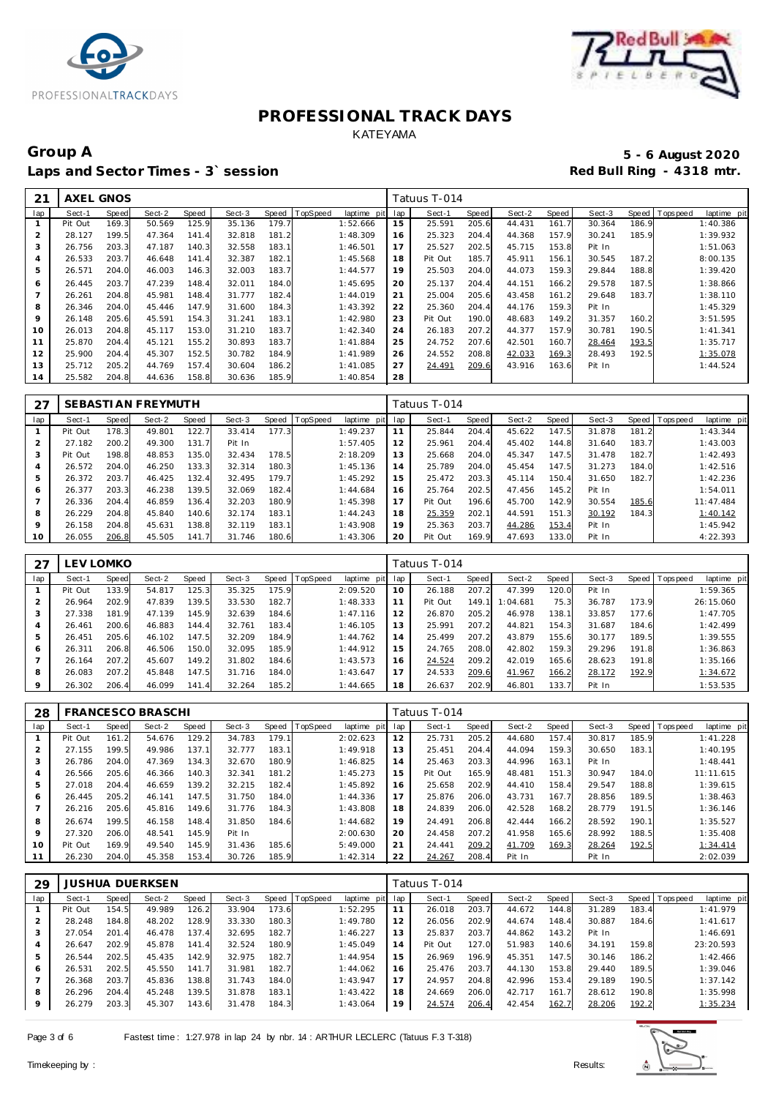



## Group A **5 - 6 August 2020**<br>Laps and Sector Times - 3`session **1990 1991 1991 1992 1998** Red Bull Ring - 4318 mtr. Laps and Sector Times - 3<sup>\*</sup> session

| 21  | AXEL GNOS |       |        |       |        |       |                 |             |     | Tatuus T-014 |       |        |       |        |       |                |             |
|-----|-----------|-------|--------|-------|--------|-------|-----------------|-------------|-----|--------------|-------|--------|-------|--------|-------|----------------|-------------|
| lap | Sect-1    | Speed | Sect-2 | Speed | Sect-3 | Speed | <b>TopSpeed</b> | laptime pit | lap | Sect-1       | Speed | Sect-2 | Speed | Sect-3 |       | Speed Topspeed | laptime pit |
|     | Pit Out   | 169.3 | 50.569 | 125.9 | 35.136 | 179.7 |                 | 1:52.666    | 15  | 25.591       | 205.6 | 44.431 | 161.7 | 30.364 | 186.9 |                | 1:40.386    |
| 2   | 28.127    | 199.5 | 47.364 | 141.4 | 32.818 | 181.2 |                 | 1:48.309    | 16  | 25.323       | 204.4 | 44.368 | 157.9 | 30.241 | 185.9 |                | 1:39.932    |
| 3   | 26.756    | 203.3 | 47.187 | 140.3 | 32.558 | 183.1 |                 | 1:46.501    | 17  | 25.527       | 202.5 | 45.715 | 153.8 | Pit In |       |                | 1:51.063    |
| 4   | 26.533    | 203.7 | 46.648 | 141.4 | 32.387 | 182.1 |                 | 1:45.568    | 18  | Pit Out      | 185.7 | 45.911 | 156.1 | 30.545 | 187.2 |                | 8:00.135    |
| 5   | 26.571    | 204.0 | 46.003 | 146.3 | 32.003 | 183.7 |                 | 1:44.577    | 19  | 25.503       | 204.0 | 44.073 | 159.3 | 29.844 | 188.8 |                | 1:39.420    |
| 6   | 26.445    | 203.7 | 47.239 | 148.4 | 32.011 | 184.0 |                 | 1:45.695    | 20  | 25.137       | 204.4 | 44.151 | 166.2 | 29.578 | 187.5 |                | 1:38.866    |
|     | 26.261    | 204.8 | 45.981 | 148.4 | 31.777 | 182.4 |                 | 1:44.019    | 21  | 25.004       | 205.6 | 43.458 | 161.2 | 29.648 | 183.7 |                | 1:38.110    |
| 8   | 26.346    | 204.0 | 45.446 | 147.9 | 31.600 | 184.3 |                 | 1:43.392    | 22  | 25.360       | 204.4 | 44.176 | 159.3 | Pit In |       |                | 1:45.329    |
| 9   | 26.148    | 205.6 | 45.591 | 154.3 | 31.241 | 183.1 |                 | 1:42.980    | 23  | Pit Out      | 190.0 | 48.683 | 149.2 | 31.357 | 160.2 |                | 3:51.595    |
| 10  | 26.013    | 204.8 | 45.117 | 153.0 | 31.210 | 183.7 |                 | 1:42.340    | 24  | 26.183       | 207.2 | 44.377 | 157.9 | 30.781 | 190.5 |                | 1: 41.341   |
| 11  | 25.870    | 204.4 | 45.121 | 155.2 | 30.893 | 183.7 |                 | 1:41.884    | 25  | 24.752       | 207.6 | 42.501 | 160.7 | 28.464 | 193.5 |                | 1:35.717    |
| 12  | 25.900    | 204.4 | 45.307 | 152.5 | 30.782 | 184.9 |                 | 1:41.989    | 26  | 24.552       | 208.8 | 42.033 | 169.3 | 28.493 | 192.5 |                | 1:35.078    |
| 13  | 25.712    | 205.2 | 44.769 | 157.4 | 30.604 | 186.2 |                 | 1:41.085    | 27  | 24.491       | 209.6 | 43.916 | 163.6 | Pit In |       |                | 1:44.524    |
| 14  | 25.582    | 204.8 | 44.636 | 158.8 | 30.636 | 185.9 |                 | 1:40.854    | 28  |              |       |        |       |        |       |                |             |

| 27  |         |       | SEBASTI AN FREYMUTH |       |        |       |          |             |     | Tatuus T-014 |       |        |       |        |       |                 |             |
|-----|---------|-------|---------------------|-------|--------|-------|----------|-------------|-----|--------------|-------|--------|-------|--------|-------|-----------------|-------------|
| lap | Sect-1  | Speed | Sect-2              | Speed | Sect-3 | Speed | TopSpeed | laptime pit | lap | Sect-1       | Speed | Sect-2 | Speed | Sect-3 |       | Speed Tops peed | laptime pit |
|     | Pit Out | 178.3 | 49.801              | 122.7 | 33.414 | 177.3 |          | 1:49.237    | 11  | 25.844       | 204.4 | 45.622 | 147.5 | 31.878 | 181.2 |                 | 1:43.344    |
| 2   | 27.182  | 200.2 | 49.300              | 131.7 | Pit In |       |          | 1:57.405    | 12  | 25.961       | 204.4 | 45.402 | 144.8 | 31.640 | 183.7 |                 | 1:43.003    |
| 3   | Pit Out | 198.8 | 48.853              | 135.0 | 32.434 | 178.5 |          | 2:18.209    | 13  | 25.668       | 204.0 | 45.347 | 147.5 | 31.478 | 182.7 |                 | 1:42.493    |
| 4   | 26.572  | 204.0 | 46.250              | 133.3 | 32.314 | 180.3 |          | 1:45.136    | 14  | 25.789       | 204.0 | 45.454 | 147.5 | 31.273 | 184.0 |                 | 1:42.516    |
| 5   | 26.372  | 203.7 | 46.425              | 132.4 | 32.495 | 179.7 |          | 1:45.292    | 15  | 25.472       | 203.3 | 45.114 | 150.4 | 31.650 | 182.7 |                 | 1:42.236    |
| 6   | 26.377  | 203.3 | 46.238              | 139.5 | 32.069 | 182.4 |          | 1:44.684    | 16  | 25.764       | 202.5 | 47.456 | 145.2 | Pit In |       |                 | 1:54.011    |
|     | 26.336  | 204.4 | 46.859              | 136.4 | 32.203 | 180.9 |          | 1:45.398    | 17  | Pit Out      | 196.6 | 45.700 | 142.9 | 30.554 | 185.6 |                 | 11:47.484   |
| 8   | 26.229  | 204.8 | 45.840              | 140.6 | 32.174 | 183.1 |          | 1:44.243    | 18  | 25.359       | 202.1 | 44.591 | 151.3 | 30.192 | 184.3 |                 | 1:40.142    |
| 9   | 26.158  | 204.8 | 45.631              | 138.8 | 32.119 | 183.1 |          | 1:43.908    | 19  | 25.363       | 203.7 | 44.286 | 153.4 | Pit In |       |                 | 1:45.942    |
| 10  | 26.055  | 206.8 | 45.505              | 141.7 | 31.746 | 180.6 |          | 1:43.306    | 20  | Pit Out      | 169.9 | 47.693 | 133.0 | Pit In |       |                 | 4:22.393    |

| 27             |         | EV LOMKO |        |       |        |       |          |             |     | Tatuus T-014 |       |          |       |        |              |             |             |
|----------------|---------|----------|--------|-------|--------|-------|----------|-------------|-----|--------------|-------|----------|-------|--------|--------------|-------------|-------------|
| lap            | Sect-1  | Speed    | Sect-2 | Speed | Sect-3 | Speed | TopSpeed | laptime pit | lap | Sect-1       | Speed | Sect-2   | Speed | Sect-3 | <b>Speed</b> | T ops pee d | laptime pit |
|                | Pit Out | 133.9    | 54.817 | 125.3 | 35.325 | 175.9 |          | 2:09.520    | 10  | 26.188       | 207.2 | 47.399   | 120.0 | Pit In |              |             | 1:59.365    |
| 2              | 26.964  | 202.9    | 47.839 | 139.5 | 33.530 | 182.7 |          | 1:48.333    | 11  | Pit Out      | 149.1 | 1:04.681 | 75.3  | 36.787 | 173.9        |             | 26:15.060   |
| 3              | 27.338  | 181.9    | 47.139 | 145.9 | 32.639 | 184.6 |          | 1:47.116    | 12  | 26.870       | 205.2 | 46.978   | 138.1 | 33.857 | 177.6        |             | 1:47.705    |
| $\overline{4}$ | 26.461  | 200.6    | 46.883 | 144.4 | 32.761 | 183.4 |          | 1:46.105    | 13  | 25.991       | 207.2 | 44.821   | 154.3 | 31.687 | 184.6        |             | 1:42.499    |
| 5              | 26.451  | 205.6    | 46.102 | 147.5 | 32.209 | 184.9 |          | 1:44.762    | 14  | 25.499       | 207.2 | 43.879   | 155.6 | 30.177 | 189.5        |             | 1:39.555    |
| 6              | 26.311  | 206.8    | 46.506 | 150.0 | 32.095 | 185.9 |          | 1:44.912    | 15  | 24.765       | 208.0 | 42.802   | 159.3 | 29.296 | 191.8        |             | 1:36.863    |
| $\overline{7}$ | 26.164  | 207.2    | 45.607 | 149.2 | 31.802 | 184.6 |          | 1:43.573    | 16  | 24.524       | 209.2 | 42.019   | 165.6 | 28.623 | 191.8        |             | 1:35.166    |
| 8              | 26.083  | 207.2    | 45.848 | 147.5 | 31.716 | 184.0 |          | 1:43.647    | 17  | 24.533       | 209.6 | 41.967   | 166.2 | 28.172 | 192.9        |             | 1:34.672    |
| 9              | 26.302  | 206.4    | 46.099 | 141.4 | 32.264 | 185.2 |          | 1:44.665    | 18  | 26.637       | 202.9 | 46.801   | 133.7 | Pit In |              |             | 1:53.535    |

| 28             |         |       | FRANCESCO BRASCHI |       |        |       |          |             |     | Tatuus T-014 |       |        |       |        |       |                                |
|----------------|---------|-------|-------------------|-------|--------|-------|----------|-------------|-----|--------------|-------|--------|-------|--------|-------|--------------------------------|
| lap            | Sect-1  | Speed | Sect-2            | Speed | Sect-3 | Speed | TopSpeed | laptime pit | lap | Sect-1       | Speed | Sect-2 | Speed | Sect-3 |       | Speed Tops peed<br>laptime pit |
|                | Pit Out | 161.2 | 54.676            | 129.2 | 34.783 | 179.1 |          | 2:02.623    | 12  | 25.731       | 205.2 | 44.680 | 157.4 | 30.817 | 185.9 | 1:41.228                       |
| $\overline{2}$ | 27.155  | 199.5 | 49.986            | 137.1 | 32.777 | 183.1 |          | 1:49.918    | 13  | 25.451       | 204.4 | 44.094 | 159.3 | 30.650 | 183.1 | 1:40.195                       |
| 3              | 26.786  | 204.0 | 47.369            | 134.3 | 32.670 | 180.9 |          | 1:46.825    | 14  | 25.463       | 203.3 | 44.996 | 163.1 | Pit In |       | 1:48.441                       |
| 4              | 26.566  | 205.6 | 46.366            | 140.3 | 32.341 | 181.2 |          | 1:45.273    | 15  | Pit Out      | 165.9 | 48.481 | 151.3 | 30.947 | 184.0 | 11:11.615                      |
| 5              | 27.018  | 204.4 | 46.659            | 139.2 | 32.215 | 182.4 |          | 1:45.892    | 16  | 25.658       | 202.9 | 44.410 | 158.4 | 29.547 | 188.8 | 1:39.615                       |
| 6              | 26.445  | 205.2 | 46.141            | 147.5 | 31.750 | 184.0 |          | 1:44.336    | 17  | 25.876       | 206.0 | 43.731 | 167.7 | 28.856 | 189.5 | 1:38.463                       |
|                | 26.216  | 205.6 | 45.816            | 149.6 | 31.776 | 184.3 |          | 1:43.808    | 18  | 24.839       | 206.0 | 42.528 | 168.2 | 28.779 | 191.5 | 1:36.146                       |
| 8              | 26.674  | 199.5 | 46.158            | 148.4 | 31.850 | 184.6 |          | 1:44.682    | 19  | 24.491       | 206.8 | 42.444 | 166.2 | 28.592 | 190.1 | 1:35.527                       |
| 9              | 27.320  | 206.0 | 48.541            | 145.9 | Pit In |       |          | 2:00.630    | 20  | 24.458       | 207.2 | 41.958 | 165.6 | 28.992 | 188.5 | 1:35.408                       |
| 10             | Pit Out | 169.9 | 49.540            | 145.9 | 31.436 | 185.6 |          | 5:49.000    | 21  | 24.441       | 209.2 | 41.709 | 169.3 | 28.264 | 192.5 | 1:34.414                       |
|                | 26.230  | 204.0 | 45.358            | 153.4 | 30.726 | 185.9 |          | 1:42.314    | 22  | 24.267       | 208.4 | Pit In |       | Pit In |       | 2:02.039                       |

| 29             |         |       | <b>JUSHUA DUERKSEN</b> |       |        |       |          |                 |    | Tatuus T-014 |       |        |       |        |       |                               |
|----------------|---------|-------|------------------------|-------|--------|-------|----------|-----------------|----|--------------|-------|--------|-------|--------|-------|-------------------------------|
| lap            | Sect-1  | Speed | Sect-2                 | Speed | Sect-3 | Speed | TopSpeed | laptime pit lap |    | Sect-1       | Speed | Sect-2 | Speed | Sect-3 |       | Speed Topspeed<br>laptime pit |
|                | Pit Out | 154.5 | 49.989                 | 126.2 | 33.904 | 173.6 |          | 1:52.295        |    | 26.018       | 203.7 | 44.672 | 144.8 | 31.289 | 183.4 | 1:41.979                      |
| 2              | 28.248  | 184.8 | 48.202                 | 128.9 | 33.330 | 180.3 |          | 1:49.780        | 12 | 26.056       | 202.9 | 44.674 | 148.4 | 30.887 | 184.6 | 1:41.617                      |
| 3              | 27.054  | 201.4 | 46.478                 | 137.4 | 32.695 | 182.7 |          | 1:46.227        | 13 | 25.837       | 203.7 | 44.862 | 143.2 | Pit In |       | 1:46.691                      |
| $\overline{4}$ | 26.647  | 202.9 | 45.878                 | 141.4 | 32.524 | 180.9 |          | 1:45.049        | 14 | Pit Out      | 127.0 | 51.983 | 140.6 | 34.191 | 159.8 | 23:20.593                     |
| 5              | 26.544  | 202.5 | 45.435                 | 142.9 | 32.975 | 182.7 |          | 1:44.954        | 15 | 26.969       | 196.9 | 45.351 | 147.5 | 30.146 | 186.2 | 1:42.466                      |
| 6              | 26.531  | 202.5 | 45.550                 | 141.7 | 31.981 | 182.7 |          | 1:44.062        | 16 | 25.476       | 203.7 | 44.130 | 153.8 | 29.440 | 189.5 | 1:39.046                      |
|                | 26.368  | 203.7 | 45.836                 | 138.8 | 31.743 | 184.0 |          | 1:43.947        | 17 | 24.957       | 204.8 | 42.996 | 153.4 | 29.189 | 190.5 | 1:37.142                      |
| 8              | 26.296  | 204.4 | 45.248                 | 139.5 | 31.878 | 183.1 |          | 1:43.422        | 18 | 24.669       | 206.0 | 42.717 | 161.7 | 28.612 | 190.8 | 1:35.998                      |
| $\circ$        | 26.279  | 203.3 | 45.307                 | 143.6 | 31.478 | 184.3 |          | 1:43.064        | 19 | 24.574       | 206.4 | 42.454 | 162.7 | 28.206 | 192.2 | 1:35.234                      |

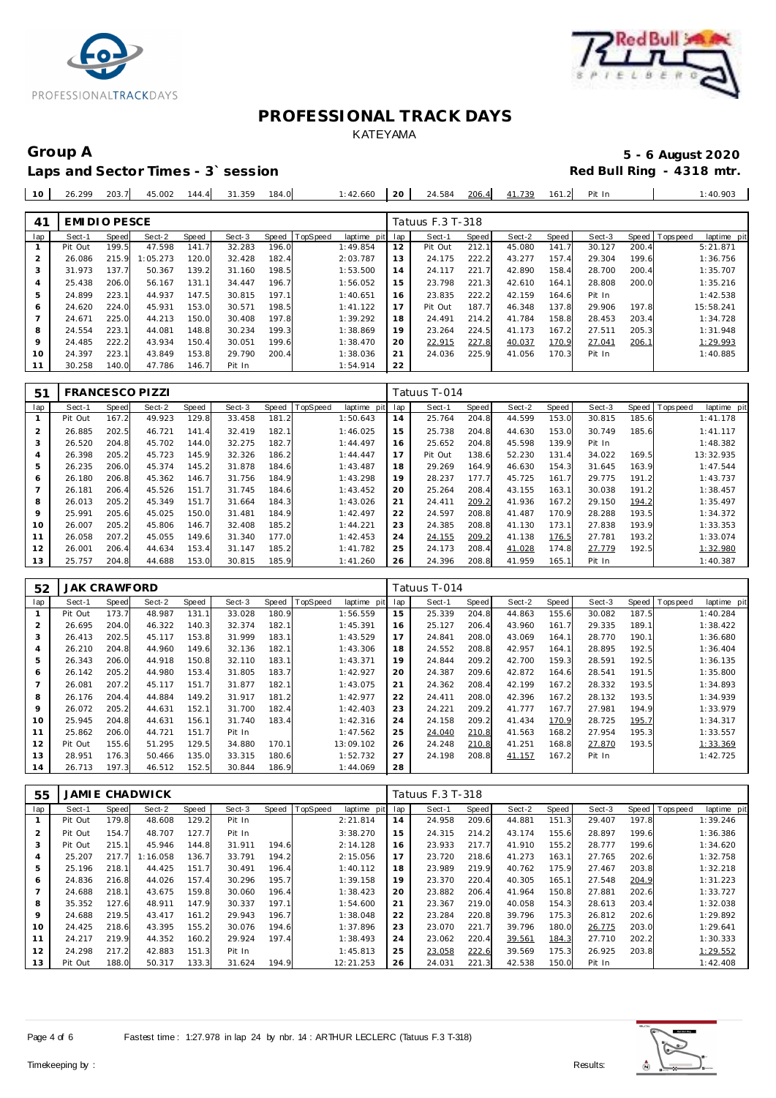



# Laps and Sector Times - 3<sup>\*</sup> session

# Group A 5 - 6 August 2020<br>
Laps and Sector Times - 3`session **1990 and Sector Times - 3`session**

| 10 | 26.299 | 203.7 | 45.002 | 144.4 | 31.359 | 184.0 | :42.660 | 20 | 24.584 | 206.4 | 41.739 | 161. | Pit In | 40.903 |
|----|--------|-------|--------|-------|--------|-------|---------|----|--------|-------|--------|------|--------|--------|
|    |        |       |        |       |        |       |         |    |        |       |        |      |        |        |

| 41             | EMI DI O PESCE |       |          |       |        |       |          |             |     | Tatuus F.3 T-318 |       |        |       |        |       |                 |             |
|----------------|----------------|-------|----------|-------|--------|-------|----------|-------------|-----|------------------|-------|--------|-------|--------|-------|-----------------|-------------|
| lap            | Sect-1         | Speed | Sect-2   | Speed | Sect-3 | Speed | TopSpeed | laptime pit | lap | Sect-1           | Speed | Sect-2 | Speed | Sect-3 |       | Speed Tops peed | laptime pit |
|                | Pit Out        | 199.5 | 47.598   | 141.7 | 32.283 | 196.0 |          | 1:49.854    | 12  | Pit Out          | 212.1 | 45.080 | 141.7 | 30.127 | 200.4 |                 | 5:21.871    |
| $\overline{2}$ | 26.086         | 215.9 | 1:05.273 | 120.0 | 32.428 | 182.4 |          | 2:03.787    | 13  | 24.175           | 222.2 | 43.277 | 157.4 | 29.304 | 199.6 |                 | 1:36.756    |
| 3              | 31.973         | 137.7 | 50.367   | 139.2 | 31.160 | 198.5 |          | 1:53.500    | 14  | 24.117           | 221.7 | 42.890 | 158.4 | 28.700 | 200.4 |                 | 1:35.707    |
| 4              | 25.438         | 206.0 | 56.167   | 131.1 | 34.447 | 196.7 |          | 1:56.052    | 15  | 23.798           | 221.3 | 42.610 | 164.1 | 28.808 | 200.0 |                 | 1:35.216    |
| 5              | 24.899         | 223.1 | 44.937   | 147.5 | 30.815 | 197.1 |          | 1:40.651    | 16  | 23.835           | 222.2 | 42.159 | 164.6 | Pit In |       |                 | 1:42.538    |
| 6              | 24.620         | 224.0 | 45.931   | 153.0 | 30.571 | 198.5 |          | 1:41.122    | 17  | Pit Out          | 187.7 | 46.348 | 137.8 | 29.906 | 197.8 |                 | 15:58.241   |
|                | 24.671         | 225.0 | 44.213   | 150.0 | 30.408 | 197.8 |          | 1:39.292    | 18  | 24.491           | 214.2 | 41.784 | 158.8 | 28.453 | 203.4 |                 | 1:34.728    |
| 8              | 24.554         | 223.1 | 44.081   | 148.8 | 30.234 | 199.3 |          | 1:38.869    | 19  | 23.264           | 224.5 | 41.173 | 167.2 | 27.511 | 205.3 |                 | 1:31.948    |
| $\circ$        | 24.485         | 222.2 | 43.934   | 150.4 | 30.051 | 199.6 |          | 1:38.470    | 20  | 22.915           | 227.8 | 40.037 | 170.9 | 27.041 | 206.1 |                 | 1:29.993    |
| 10             | 24.397         | 223.1 | 43.849   | 153.8 | 29.790 | 200.4 |          | 1:38.036    | 21  | 24.036           | 225.9 | 41.056 | 170.3 | Pit In |       |                 | 1:40.885    |
| 11             | 30.258         | 140.0 | 47.786   | 146.7 | Pit In |       |          | 1:54.914    | 22  |                  |       |        |       |        |       |                 |             |

| 51  | <b>FRANCESCO PIZZI</b> |       |        |       |        |       |          |             |     | Tatuus T-014 |       |        |       |        |       |           |             |
|-----|------------------------|-------|--------|-------|--------|-------|----------|-------------|-----|--------------|-------|--------|-------|--------|-------|-----------|-------------|
| lap | Sect-1                 | Speed | Sect-2 | Speed | Sect-3 | Speed | TopSpeed | laptime pit | lap | Sect-1       | Speed | Sect-2 | Speed | Sect-3 | Speed | Topspeed  | laptime pit |
|     | Pit Out                | 167.2 | 49.923 | 129.8 | 33.458 | 181.2 |          | 1:50.643    | 14  | 25.764       | 204.8 | 44.599 | 153.0 | 30.815 | 185.6 | 1:41.178  |             |
| 2   | 26.885                 | 202.5 | 46.721 | 141.4 | 32.419 | 182.1 |          | 1:46.025    | 15  | 25.738       | 204.8 | 44.630 | 153.0 | 30.749 | 185.6 | 1: 41.117 |             |
| 3   | 26.520                 | 204.8 | 45.702 | 144.0 | 32.275 | 182.7 |          | 1:44.497    | 16  | 25.652       | 204.8 | 45.598 | 139.9 | Pit In |       | 1:48.382  |             |
| 4   | 26.398                 | 205.2 | 45.723 | 145.9 | 32.326 | 186.2 |          | 1:44.447    | 17  | Pit Out      | 138.6 | 52.230 | 131.4 | 34.022 | 169.5 | 13:32.935 |             |
| 5   | 26.235                 | 206.0 | 45.374 | 145.2 | 31.878 | 184.6 |          | 1:43.487    | 18  | 29.269       | 164.9 | 46.630 | 154.3 | 31.645 | 163.9 | 1:47.544  |             |
| 6   | 26.180                 | 206.8 | 45.362 | 146.7 | 31.756 | 184.9 |          | 1:43.298    | 19  | 28.237       | 177.7 | 45.725 | 161.7 | 29.775 | 191.2 | 1:43.737  |             |
|     | 26.181                 | 206.4 | 45.526 | 151.7 | 31.745 | 184.6 |          | 1:43.452    | 20  | 25.264       | 208.4 | 43.155 | 163.1 | 30.038 | 191.2 | 1:38.457  |             |
| 8   | 26.013                 | 205.2 | 45.349 | 151.7 | 31.664 | 184.3 |          | 1:43.026    | 21  | 24.411       | 209.2 | 41.936 | 167.2 | 29.150 | 194.2 | 1:35.497  |             |
| 9   | 25.991                 | 205.6 | 45.025 | 150.0 | 31.481 | 184.9 |          | 1:42.497    | 22  | 24.597       | 208.8 | 41.487 | 170.9 | 28.288 | 193.5 | 1:34.372  |             |
| 10  | 26.007                 | 205.2 | 45.806 | 146.7 | 32.408 | 185.2 |          | 1:44.221    | 23  | 24.385       | 208.8 | 41.130 | 173.1 | 27.838 | 193.9 | 1:33.353  |             |
| 11  | 26.058                 | 207.2 | 45.055 | 149.6 | 31.340 | 177.0 |          | 1:42.453    | 24  | 24.155       | 209.2 | 41.138 | 176.5 | 27.781 | 193.2 | 1:33.074  |             |
| 12  | 26.001                 | 206.4 | 44.634 | 153.4 | 31.147 | 185.2 |          | 1:41.782    | 25  | 24.173       | 208.4 | 41.028 | 174.8 | 27.779 | 192.5 | 1:32.980  |             |
| 13  | 25.757                 | 204.8 | 44.688 | 153.0 | 30.815 | 185.9 |          | 1:41.260    | 26  | 24.396       | 208.8 | 41.959 | 165.1 | Pit In |       | 1:40.387  |             |

| 52  | <b>JAK CRAWFORD</b> |       |        |       |        |              |          |                |     | Tatuus T-014 |       |        |       |        |       |             |             |
|-----|---------------------|-------|--------|-------|--------|--------------|----------|----------------|-----|--------------|-------|--------|-------|--------|-------|-------------|-------------|
| lap | Sect-1              | Speed | Sect-2 | Speed | Sect-3 | <b>Speed</b> | TopSpeed | laptime<br>pit | lap | Sect-1       | Speed | Sect-2 | Speed | Sect-3 | Speed | T ops pee d | laptime pit |
|     | Pit Out             | 173.7 | 48.987 | 131.1 | 33.028 | 180.9        |          | 1:56.559       | 15  | 25.339       | 204.8 | 44.863 | 155.6 | 30.082 | 187.5 |             | 1:40.284    |
| 2   | 26.695              | 204.0 | 46.322 | 140.3 | 32.374 | 182.1        |          | 1:45.391       | 16  | 25.127       | 206.4 | 43.960 | 161.7 | 29.335 | 189.1 |             | 1:38.422    |
| 3   | 26.413              | 202.5 | 45.117 | 153.8 | 31.999 | 183.1        |          | 1:43.529       | 17  | 24.841       | 208.0 | 43.069 | 164.1 | 28.770 | 190.1 |             | 1:36.680    |
| 4   | 26.210              | 204.8 | 44.960 | 149.6 | 32.136 | 182.1        |          | 1:43.306       | 18  | 24.552       | 208.8 | 42.957 | 164.1 | 28.895 | 192.5 |             | 1:36.404    |
| 5   | 26.343              | 206.0 | 44.918 | 150.8 | 32.110 | 183.1        |          | 1:43.371       | 19  | 24.844       | 209.2 | 42.700 | 159.3 | 28.591 | 192.5 |             | 1:36.135    |
| 6   | 26.142              | 205.2 | 44.980 | 153.4 | 31.805 | 183.7        |          | 1:42.927       | 20  | 24.387       | 209.6 | 42.872 | 164.6 | 28.541 | 191.5 |             | 1:35.800    |
|     | 26.081              | 207.2 | 45.117 | 151.7 | 31.877 | 182.1        |          | 1:43.075       | 21  | 24.362       | 208.4 | 42.199 | 167.2 | 28.332 | 193.5 |             | 1:34.893    |
| 8   | 26.176              | 204.4 | 44.884 | 149.2 | 31.917 | 181.2        |          | 1:42.977       | 22  | 24.411       | 208.0 | 42.396 | 167.2 | 28.132 | 193.5 |             | 1:34.939    |
| 9   | 26.072              | 205.2 | 44.631 | 152.1 | 31.700 | 182.4        |          | 1:42.403       | 23  | 24.221       | 209.2 | 41.777 | 167.7 | 27.981 | 194.9 |             | 1:33.979    |
| 10  | 25.945              | 204.8 | 44.631 | 156.1 | 31.740 | 183.4        |          | 1:42.316       | 24  | 24.158       | 209.2 | 41.434 | 170.9 | 28.725 | 195.7 |             | 1:34.317    |
| 11  | 25.862              | 206.0 | 44.721 | 151.7 | Pit In |              |          | 1:47.562       | 25  | 24.040       | 210.8 | 41.563 | 168.2 | 27.954 | 195.3 |             | 1:33.557    |
| 12  | Pit Out             | 155.6 | 51.295 | 129.5 | 34.880 | 170.1        |          | 13:09.102      | 26  | 24.248       | 210.8 | 41.251 | 168.8 | 27.870 | 193.5 |             | 1:33.369    |
| 13  | 28.951              | 176.3 | 50.466 | 135.0 | 33.315 | 180.6        |          | 1:52.732       | 27  | 24.198       | 208.8 | 41.157 | 167.2 | Pit In |       |             | 1:42.725    |
| 14  | 26.713              | 197.3 | 46.512 | 152.5 | 30.844 | 186.9        |          | 1:44.069       | 28  |              |       |        |       |        |       |             |             |

| 55  |         |       | JAMI E CHADWICK |       |        |       |          |             |     | Tatuus F.3 T-318 |       |        |       |        |       |          |             |
|-----|---------|-------|-----------------|-------|--------|-------|----------|-------------|-----|------------------|-------|--------|-------|--------|-------|----------|-------------|
| lap | Sect-1  | Speed | Sect-2          | Speed | Sect-3 | Speed | TopSpeed | laptime pit | lap | Sect-1           | Speed | Sect-2 | Speed | Sect-3 | Speed | Topspeed | laptime pit |
|     | Pit Out | 179.8 | 48.608          | 129.2 | Pit In |       |          | 2:21.814    | 14  | 24.958           | 209.6 | 44.881 | 151.3 | 29.407 | 197.8 |          | 1:39.246    |
| 2   | Pit Out | 154.7 | 48.707          | 127.7 | Pit In |       |          | 3:38.270    | 15  | 24.315           | 214.2 | 43.174 | 155.6 | 28.897 | 199.6 |          | 1:36.386    |
| 3   | Pit Out | 215.1 | 45.946          | 144.8 | 31.911 | 194.6 |          | 2:14.128    | 16  | 23.933           | 217.7 | 41.910 | 155.2 | 28.777 | 199.6 |          | 1:34.620    |
| 4   | 25.207  | 217.7 | 1:16.058        | 136.7 | 33.791 | 194.2 |          | 2:15.056    | 17  | 23.720           | 218.6 | 41.273 | 163.1 | 27.765 | 202.6 |          | 1:32.758    |
| 5   | 25.196  | 218.1 | 44.425          | 151.7 | 30.491 | 196.4 |          | 1:40.112    | 18  | 23.989           | 219.9 | 40.762 | 175.9 | 27.467 | 203.8 |          | 1:32.218    |
| 6   | 24.836  | 216.8 | 44.026          | 157.4 | 30.296 | 195.7 |          | 1:39.158    | 19  | 23.370           | 220.4 | 40.305 | 165.1 | 27.548 | 204.9 |          | 1:31.223    |
|     | 24.688  | 218.1 | 43.675          | 159.8 | 30.060 | 196.4 |          | 1:38.423    | 20  | 23.882           | 206.4 | 41.964 | 150.8 | 27.881 | 202.6 |          | 1:33.727    |
| 8   | 35.352  | 127.6 | 48.911          | 147.9 | 30.337 | 197.1 |          | 1:54.600    | 21  | 23.367           | 219.0 | 40.058 | 154.3 | 28.613 | 203.4 |          | 1:32.038    |
| 9   | 24.688  | 219.5 | 43.417          | 161.2 | 29.943 | 196.7 |          | 1:38.048    | 22  | 23.284           | 220.8 | 39.796 | 175.3 | 26.812 | 202.6 |          | 1:29.892    |
| 10  | 24.425  | 218.6 | 43.395          | 155.2 | 30.076 | 194.6 |          | 1:37.896    | 23  | 23.070           | 221.7 | 39.796 | 180.0 | 26.775 | 203.0 |          | 1:29.641    |
| 11  | 24.217  | 219.9 | 44.352          | 160.2 | 29.924 | 197.4 |          | 1:38.493    | 24  | 23.062           | 220.4 | 39.561 | 184.3 | 27.710 | 202.2 |          | 1:30.333    |
| 12  | 24.298  | 217.2 | 42.883          | 151.3 | Pit In |       |          | 1:45.813    | 25  | 23.058           | 222.6 | 39.569 | 175.3 | 26.925 | 203.8 |          | 1:29.552    |
| 13  | Pit Out | 188.0 | 50.317          | 133.3 | 31.624 | 194.9 |          | 12:21.253   | 26  | 24.031           | 221.3 | 42.538 | 150.0 | Pit In |       |          | 1:42.408    |

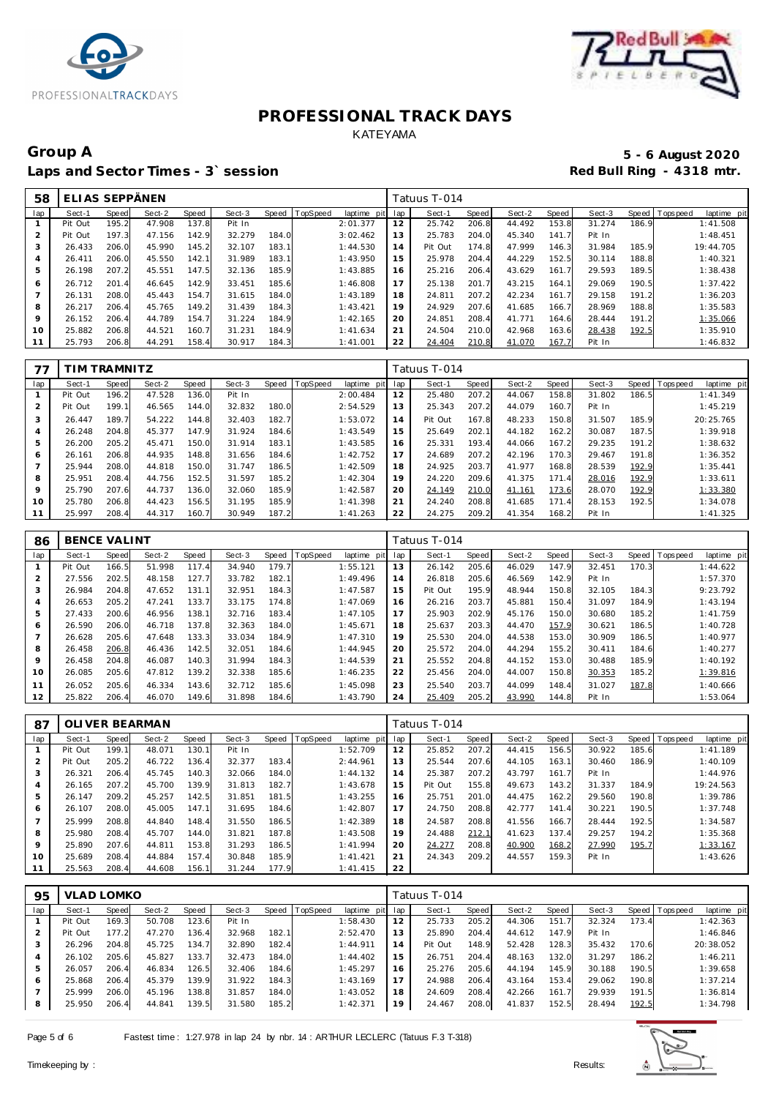



## Group A 5 - 6 August 2020<br>
Laps and Sector Times - 3`session **1990 and Sector Times - 3`session** Laps and Sector Times - 3<sup>\*</sup> session

| 58             | ELIAS SEPPÄNEN |       |        |       |        |       |          |                 |     | Tatuus T-014 |       |        |       |        |       |                                |
|----------------|----------------|-------|--------|-------|--------|-------|----------|-----------------|-----|--------------|-------|--------|-------|--------|-------|--------------------------------|
| lap            | Sect-1         | Speed | Sect-2 | Speed | Sect-3 | Speed | TopSpeed | laptime<br>pitl | lap | Sect-1       | Speed | Sect-2 | Speed | Sect-3 |       | Speed Tops peed<br>laptime pit |
|                | Pit Out        | 195.2 | 47.908 | 137.8 | Pit In |       |          | 2:01.377        | 12  | 25.742       | 206.8 | 44.492 | 153.8 | 31.274 | 186.9 | 1:41.508                       |
| $\overline{2}$ | Pit Out        | 197.3 | 47.156 | 142.9 | 32.279 | 184.0 |          | 3:02.462        | 13  | 25.783       | 204.0 | 45.340 | 141.7 | Pit In |       | 1:48.451                       |
| 3              | 26.433         | 206.0 | 45.990 | 145.2 | 32.107 | 183.1 |          | 1:44.530        | 14  | Pit Out      | 174.8 | 47.999 | 146.3 | 31.984 | 185.9 | 19:44.705                      |
| 4              | 26.411         | 206.0 | 45.550 | 142.1 | 31.989 | 183.1 |          | 1:43.950        | 15  | 25.978       | 204.4 | 44.229 | 152.5 | 30.114 | 188.8 | 1:40.321                       |
| 5              | 26.198         | 207.2 | 45.551 | 147.5 | 32.136 | 185.9 |          | 1:43.885        | 16  | 25.216       | 206.4 | 43.629 | 161.7 | 29.593 | 189.5 | 1:38.438                       |
| 6              | 26.712         | 201.4 | 46.645 | 142.9 | 33.451 | 185.6 |          | 1:46.808        | 17  | 25.138       | 201.7 | 43.215 | 164.1 | 29.069 | 190.5 | 1:37.422                       |
|                | 26.131         | 208.0 | 45.443 | 154.7 | 31.615 | 184.0 |          | 1:43.189        | 18  | 24.811       | 207.2 | 42.234 | 161.7 | 29.158 | 191.2 | 1:36.203                       |
| 8              | 26.217         | 206.4 | 45.765 | 149.2 | 31.439 | 184.3 |          | 1:43.421        | 19  | 24.929       | 207.6 | 41.685 | 166.7 | 28.969 | 188.8 | 1:35.583                       |
| $\circ$        | 26.152         | 206.4 | 44.789 | 154.7 | 31.224 | 184.9 |          | 1:42.165        | 20  | 24.851       | 208.4 | 41.771 | 164.6 | 28.444 | 191.2 | 1:35.066                       |
| 10             | 25.882         | 206.8 | 44.521 | 160.7 | 31.231 | 184.9 |          | 1:41.634        | 21  | 24.504       | 210.0 | 42.968 | 163.6 | 28.438 | 192.5 | 1:35.910                       |
|                | 25.793         | 206.8 | 44.291 | 158.4 | 30.917 | 184.3 |          | 1:41.001        | 22  | 24.404       | 210.8 | 41.070 | 167.7 | Pit In |       | 1:46.832                       |

| 77             |         | IM TRAMNITZ |        |       |        |       |                |             |     | Tatuus T-014 |       |        |       |        |       |                                 |
|----------------|---------|-------------|--------|-------|--------|-------|----------------|-------------|-----|--------------|-------|--------|-------|--------|-------|---------------------------------|
| lap            | Sect-1  | Speed       | Sect-2 | Speed | Sect-3 |       | Speed TopSpeed | laptime pit | lap | Sect-1       | Speed | Sect-2 | Speed | Sect-3 |       | Speed   Topspeed<br>laptime pit |
|                | Pit Out | 196.2       | 47.528 | 136.0 | Pit In |       |                | 2:00.484    | 12  | 25.480       | 207.2 | 44.067 | 158.8 | 31.802 | 186.5 | 1:41.349                        |
| $\overline{2}$ | Pit Out | 199.1       | 46.565 | 144.0 | 32.832 | 180.0 |                | 2:54.529    | 13  | 25.343       | 207.2 | 44.079 | 160.7 | Pit In |       | 1:45.219                        |
| 3              | 26.447  | 189.7       | 54.222 | 144.8 | 32.403 | 182.7 |                | 1:53.072    | 14  | Pit Out      | 167.8 | 48.233 | 150.8 | 31.507 | 185.9 | 20:25.765                       |
| 4              | 26.248  | 204.8       | 45.377 | 147.9 | 31.924 | 184.6 |                | 1:43.549    | 15  | 25.649       | 202.1 | 44.182 | 162.2 | 30.087 | 187.5 | 1:39.918                        |
| 5              | 26.200  | 205.2       | 45.471 | 150.0 | 31.914 | 183.1 |                | 1:43.585    | 16  | 25.331       | 193.4 | 44.066 | 167.2 | 29.235 | 191.2 | 1:38.632                        |
| 6              | 26.161  | 206.8       | 44.935 | 148.8 | 31.656 | 184.6 |                | 1:42.752    | 17  | 24.689       | 207.2 | 42.196 | 170.3 | 29.467 | 191.8 | 1:36.352                        |
|                | 25.944  | 208.0       | 44.818 | 150.0 | 31.747 | 186.5 |                | 1:42.509    | 18  | 24.925       | 203.7 | 41.977 | 168.8 | 28.539 | 192.9 | 1:35.441                        |
| 8              | 25.951  | 208.4       | 44.756 | 152.5 | 31.597 | 185.2 |                | 1:42.304    | 19  | 24.220       | 209.6 | 41.375 | 171.4 | 28.016 | 192.9 | 1:33.611                        |
| $\circ$        | 25.790  | 207.6       | 44.737 | 136.0 | 32.060 | 185.9 |                | 1:42.587    | 20  | 24.149       | 210.0 | 41.161 | 173.6 | 28.070 | 192.9 | 1:33.380                        |
| 10             | 25.780  | 206.8       | 44.423 | 156.5 | 31.195 | 185.9 |                | 1:41.398    | 21  | 24.240       | 208.8 | 41.685 | 171.4 | 28.153 | 192.5 | 1:34.078                        |
| 11             | 25.997  | 208.4       | 44.317 | 160.7 | 30.949 | 187.2 |                | 1:41.263    | 22  | 24.275       | 209.2 | 41.354 | 168.2 | Pit In |       | 1:41.325                        |

| 86             | <b>BENCE VALINT</b> |       |        |       |        |       |                |             |     | Tatuus T-014 |       |        |       |        |       |            |             |
|----------------|---------------------|-------|--------|-------|--------|-------|----------------|-------------|-----|--------------|-------|--------|-------|--------|-------|------------|-------------|
| lap            | Sect-1              | Speed | Sect-2 | Speed | Sect-3 |       | Speed TopSpeed | laptime pit | lap | Sect-1       | Speed | Sect-2 | Speed | Sect-3 | Speed | T ops peed | laptime pit |
|                | Pit Out             | 166.5 | 51.998 | 117.4 | 34.940 | 179.7 |                | 1:55.121    | 13  | 26.142       | 205.6 | 46.029 | 147.9 | 32.451 | 170.3 |            | 1:44.622    |
| 2              | 27.556              | 202.5 | 48.158 | 127.7 | 33.782 | 182.1 |                | 1:49.496    | 14  | 26.818       | 205.6 | 46.569 | 142.9 | Pit In |       |            | 1:57.370    |
| 3              | 26.984              | 204.8 | 47.652 | 131.1 | 32.951 | 184.3 |                | 1:47.587    | 15  | Pit Out      | 195.9 | 48.944 | 150.8 | 32.105 | 184.3 |            | 9:23.792    |
| 4              | 26.653              | 205.2 | 47.241 | 133.7 | 33.175 | 174.8 |                | 1:47.069    | 16  | 26.216       | 203.7 | 45.881 | 150.4 | 31.097 | 184.9 |            | 1:43.194    |
| 5              | 27.433              | 200.6 | 46.956 | 138.1 | 32.716 | 183.4 |                | 1:47.105    | 17  | 25.903       | 202.9 | 45.176 | 150.0 | 30.680 | 185.2 |            | 1:41.759    |
| 6              | 26.590              | 206.0 | 46.718 | 137.8 | 32.363 | 184.0 |                | 1:45.671    | 18  | 25.637       | 203.3 | 44.470 | 157.9 | 30.621 | 186.5 |            | 1:40.728    |
| $\overline{ }$ | 26.628              | 205.6 | 47.648 | 133.3 | 33.034 | 184.9 |                | 1:47.310    | 19  | 25.530       | 204.0 | 44.538 | 153.0 | 30.909 | 186.5 |            | 1:40.977    |
| 8              | 26.458              | 206.8 | 46.436 | 142.5 | 32.051 | 184.6 |                | 1:44.945    | 20  | 25.572       | 204.0 | 44.294 | 155.2 | 30.411 | 184.6 |            | 1:40.277    |
| 9              | 26.458              | 204.8 | 46.087 | 140.3 | 31.994 | 184.3 |                | 1:44.539    | 21  | 25.552       | 204.8 | 44.152 | 153.0 | 30.488 | 185.9 |            | 1:40.192    |
| 10             | 26.085              | 205.6 | 47.812 | 139.2 | 32.338 | 185.6 |                | 1:46.235    | 22  | 25.456       | 204.0 | 44.007 | 150.8 | 30.353 | 185.2 |            | 1:39.816    |
| 11             | 26.052              | 205.6 | 46.334 | 143.6 | 32.712 | 185.6 |                | 1:45.098    | 23  | 25.540       | 203.7 | 44.099 | 148.4 | 31.027 | 187.8 |            | 1:40.666    |
| 12             | 25.822              | 206.4 | 46.070 | 149.6 | 31.898 | 184.6 |                | 1:43.790    | 24  | 25.409       | 205.2 | 43.990 | 144.8 | Pit In |       |            | 1:53.064    |

| 87  |         |       | OLI VER BEARMAN |       |        |       |                |             |     | Tatuus T-014 |       |        |       |        |       |                               |
|-----|---------|-------|-----------------|-------|--------|-------|----------------|-------------|-----|--------------|-------|--------|-------|--------|-------|-------------------------------|
| lap | Sect-1  | Speed | Sect-2          | Speed | Sect-3 |       | Speed TopSpeed | laptime pit | lap | Sect-1       | Speed | Sect-2 | Speed | Sect-3 |       | Speed Topspeed<br>laptime pit |
|     | Pit Out | 199.1 | 48.071          | 130.1 | Pit In |       |                | 1:52.709    | 12  | 25.852       | 207.2 | 44.415 | 156.5 | 30.922 | 185.6 | 1:41.189                      |
| 2   | Pit Out | 205.2 | 46.722          | 136.4 | 32.377 | 183.4 |                | 2:44.961    | 13  | 25.544       | 207.6 | 44.105 | 163.1 | 30.460 | 186.9 | 1:40.109                      |
| 3   | 26.321  | 206.4 | 45.745          | 140.3 | 32.066 | 184.0 |                | 1:44.132    | 14  | 25.387       | 207.2 | 43.797 | 161.7 | Pit In |       | 1:44.976                      |
| 4   | 26.165  | 207.2 | 45.700          | 139.9 | 31.813 | 182.7 |                | 1:43.678    | 15  | Pit Out      | 155.8 | 49.673 | 143.2 | 31.337 | 184.9 | 19:24.563                     |
| 5   | 26.147  | 209.2 | 45.257          | 142.5 | 31.851 | 181.5 |                | 1:43.255    | 16  | 25.751       | 201.0 | 44.475 | 162.2 | 29.560 | 190.8 | 1:39.786                      |
| 6   | 26.107  | 208.0 | 45.005          | 147.1 | 31.695 | 184.6 |                | 1:42.807    | 17  | 24.750       | 208.8 | 42.777 | 141.4 | 30.221 | 190.5 | 1:37.748                      |
|     | 25.999  | 208.8 | 44.840          | 148.4 | 31.550 | 186.5 |                | 1:42.389    | 18  | 24.587       | 208.8 | 41.556 | 166.7 | 28.444 | 192.5 | 1:34.587                      |
| 8   | 25.980  | 208.4 | 45.707          | 144.0 | 31.821 | 187.8 |                | 1:43.508    | 19  | 24.488       | 212.1 | 41.623 | 137.4 | 29.257 | 194.2 | 1:35.368                      |
| 9   | 25.890  | 207.6 | 44.811          | 153.8 | 31.293 | 186.5 |                | 1:41.994    | 20  | 24.277       | 208.8 | 40.900 | 168.2 | 27.990 | 195.7 | 1:33.167                      |
| 10  | 25.689  | 208.4 | 44.884          | 157.4 | 30.848 | 185.9 |                | 1: 41.421   | 21  | 24.343       | 209.2 | 44.557 | 159.3 | Pit In |       | 1:43.626                      |
| 11  | 25.563  | 208.4 | 44.608          | 156.1 | 31.244 | 177.9 |                | 1: 41.415   | 22  |              |       |        |       |        |       |                               |

| 95  | <b>VLAD LOMKO</b> |       |        |       |        |       |                |                 |    | Tatuus T-014 |       |        |                      |        |       |                |             |  |  |
|-----|-------------------|-------|--------|-------|--------|-------|----------------|-----------------|----|--------------|-------|--------|----------------------|--------|-------|----------------|-------------|--|--|
| lap | Sect-1            | Speed | Sect-2 | Speed | Sect-3 |       | Speed TopSpeed | laptime pit lap |    | Sect-1       | Speed | Sect-2 | Speed                | Sect-3 |       | Speed Topspeed | laptime pit |  |  |
|     | Pit Out           | 169.3 | 50.708 | 123.6 | Pit In |       |                | 1:58.430        | 12 | 25.733       | 205.2 | 44.306 | 151<br>$\mathcal{L}$ | 32.324 | 173.4 |                | 1:42.363    |  |  |
|     | Pit Out           | 177.2 | 47.270 | 136.4 | 32.968 | 182.1 |                | 2:52.470        | 13 | 25.890       | 204.4 | 44.612 | 147.9                | Pit In |       |                | 1:46.846    |  |  |
| 3   | 26.296            | 204.8 | 45.725 | 134.7 | 32.890 | 182.4 |                | 1:44.911        | 14 | Pit Out      | 148.9 | 52.428 | 128.3                | 35.432 | 170.6 |                | 20:38.052   |  |  |
| 4   | 26.102            | 205.6 | 45.827 | 133.7 | 32.473 | 184.0 |                | 1:44.402        | 15 | 26.751       | 204.4 | 48.163 | 132.0                | 31.297 | 186.2 |                | 1:46.211    |  |  |
| 5   | 26.057            | 206.4 | 46.834 | 126.5 | 32.406 | 184.6 |                | 1:45.297        | 16 | 25.276       | 205.6 | 44.194 | 145.9                | 30.188 | 190.5 |                | 1:39.658    |  |  |
| 6   | 25.868            | 206.4 | 45.379 | 139.9 | 31.922 | 184.3 |                | 1:43.169        | 17 | 24.988       | 206.4 | 43.164 | 153.4                | 29.062 | 190.8 |                | 1:37.214    |  |  |
|     | 25.999            | 206.0 | 45.196 | 138.8 | 31.857 | 184.0 |                | 1:43.052        | 18 | 24.609       | 208.4 | 42.266 | 161.7                | 29.939 | 191.5 |                | 1:36.814    |  |  |
| 8   | 25.950            | 206.4 | 44.841 | 139.5 | 31.580 | 185.2 |                | 1:42.371        | 19 | 24.467       | 208.0 | 41.837 | 152.5                | 28.494 | 192.5 |                | 1:34.798    |  |  |